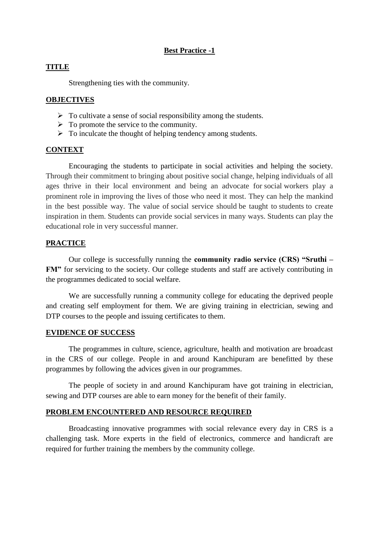## **Best Practice -1**

## **TITLE**

Strengthening ties with the community.

## **OBJECTIVES**

- $\triangleright$  To cultivate a sense of social responsibility among the students.
- $\triangleright$  To promote the service to the community.
- $\triangleright$  To inculcate the thought of helping tendency among students.

## **CONTEXT**

Encouraging the students to participate in social activities and helping the society. Through their commitment to bringing about positive social change, helping individuals of all ages thrive in their local environment and being an advocate for social workers play a prominent role in improving the lives of those who need it most. They can help the mankind in the best possible way. The value of social service should be taught to students to create inspiration in them. Students can provide social services in many ways. Students can play the educational role in very successful manner.

#### **PRACTICE**

Our college is successfully running the **community radio service (CRS) "Sruthi – FM"** for servicing to the society. Our college students and staff are actively contributing in the programmes dedicated to social welfare.

We are successfully running a community college for educating the deprived people and creating self employment for them. We are giving training in electrician, sewing and DTP courses to the people and issuing certificates to them.

#### **EVIDENCE OF SUCCESS**

The programmes in culture, science, agriculture, health and motivation are broadcast in the CRS of our college. People in and around Kanchipuram are benefitted by these programmes by following the advices given in our programmes.

The people of society in and around Kanchipuram have got training in electrician, sewing and DTP courses are able to earn money for the benefit of their family.

#### **PROBLEM ENCOUNTERED AND RESOURCE REQUIRED**

Broadcasting innovative programmes with social relevance every day in CRS is a challenging task. More experts in the field of electronics, commerce and handicraft are required for further training the members by the community college.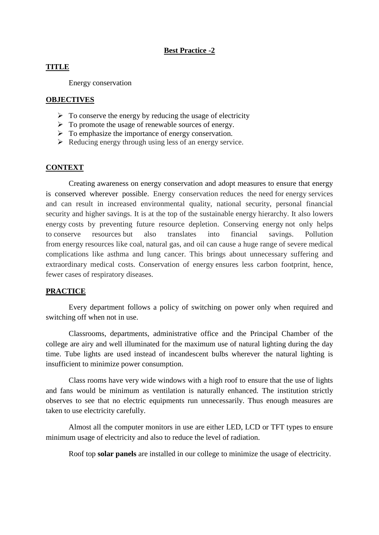## **Best Practice -2**

# **TITLE**

Energy conservation

## **OBJECTIVES**

- $\triangleright$  To conserve the energy by reducing the usage of electricity
- $\triangleright$  To promote the usage of renewable sources of energy.
- > To emphasize the importance of energy conservation.
- $\triangleright$  Reducing energy through using less of an energy service.

#### **CONTEXT**

Creating awareness on energy conservation and adopt measures to ensure that energy is conserved wherever possible. Energy conservation reduces the need for energy services and can result in increased environmental quality, national security, personal financial security and higher savings. It is at the top of the sustainable energy hierarchy. It also lowers energy costs by preventing future resource depletion. Conserving energy not only helps to conserve resources but also translates into financial savings. Pollution from energy resources like coal, natural gas, and oil can cause a huge range of severe medical complications like asthma and lung cancer. This brings about unnecessary suffering and extraordinary medical costs. Conservation of energy ensures less carbon footprint, hence, fewer cases of respiratory diseases.

## **PRACTICE**

Every department follows a policy of switching on power only when required and switching off when not in use.

Classrooms, departments, administrative office and the Principal Chamber of the college are airy and well illuminated for the maximum use of natural lighting during the day time. Tube lights are used instead of incandescent bulbs wherever the natural lighting is insufficient to minimize power consumption.

Class rooms have very wide windows with a high roof to ensure that the use of lights and fans would be minimum as ventilation is naturally enhanced. The institution strictly observes to see that no electric equipments run unnecessarily. Thus enough measures are taken to use electricity carefully.

Almost all the computer monitors in use are either LED, LCD or TFT types to ensure minimum usage of electricity and also to reduce the level of radiation.

Roof top **solar panels** are installed in our college to minimize the usage of electricity.